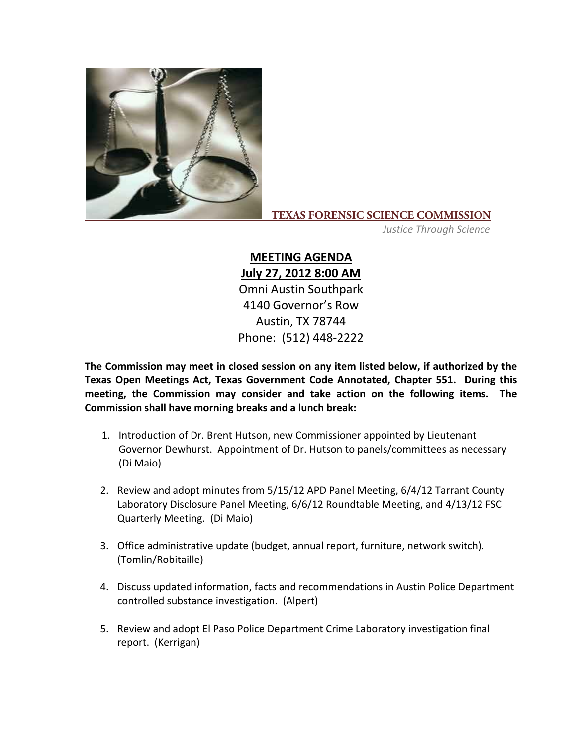

## **TEXAS FORENSIC SCIENCE COMMISSION**

*Justice Through Science*

**MEETING AGENDA July 27, 2012 8:00 AM** Omni Austin Southpark 4140 Governor's Row Austin, TX 78744 Phone: (512) 448‐2222

**The Commission may meet in closed session on any item listed below, if authorized by the Texas Open Meetings Act, Texas Government Code Annotated, Chapter 551. During this meeting, the Commission may consider and take action on the following items. The Commission shall have morning breaks and a lunch break:**

- 1. Introduction of Dr. Brent Hutson, new Commissioner appointed by Lieutenant Governor Dewhurst. Appointment of Dr. Hutson to panels/committees as necessary (Di Maio)
- 2. Review and adopt minutes from 5/15/12 APD Panel Meeting, 6/4/12 Tarrant County Laboratory Disclosure Panel Meeting, 6/6/12 Roundtable Meeting, and 4/13/12 FSC Quarterly Meeting. (Di Maio)
- 3. Office administrative update (budget, annual report, furniture, network switch). (Tomlin/Robitaille)
- 4. Discuss updated information, facts and recommendations in Austin Police Department controlled substance investigation. (Alpert)
- 5. Review and adopt El Paso Police Department Crime Laboratory investigation final report. (Kerrigan)